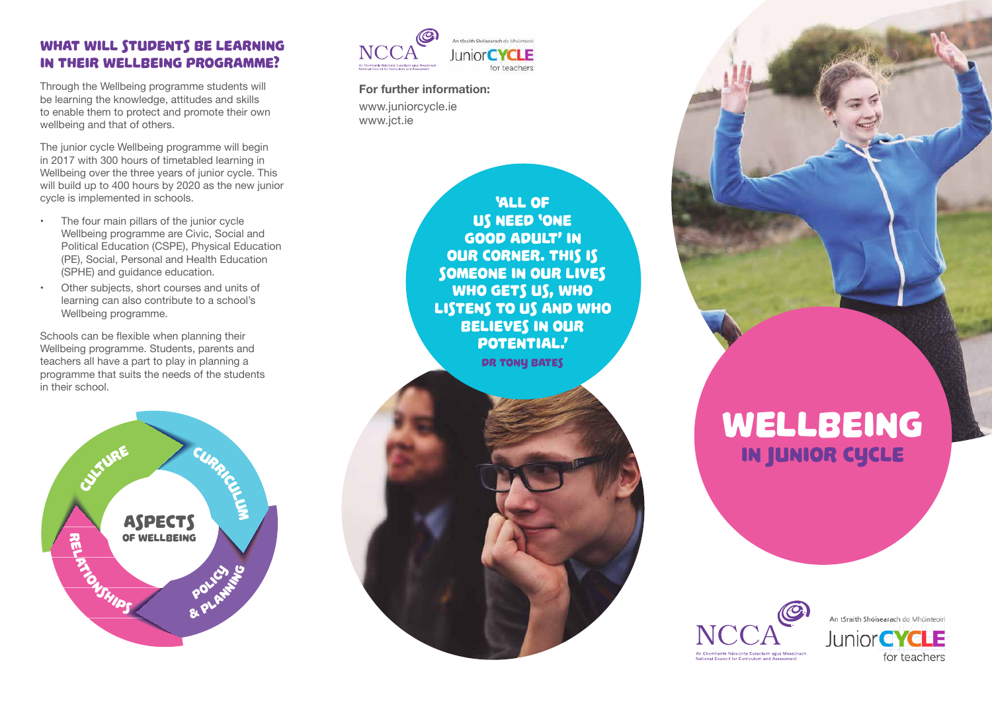# WHAT WILL STUDENTS BE LEARNING in their Wellbeing programme?

Through the Wellbeing programme students will be learning the knowledge, attitudes and skills to enable them to protect and promote their own wellbeing and that of others.

The junior cycle Wellbeing programme will begin in 2017 with 300 hours of timetabled learning in Wellbeing over the three years of junior cycle. This will build up to 400 hours by 2020 as the new junior cycle is implemented in schools.

- The four main pillars of the junior cycle Wellbeing programme are Civic, Social and Political Education (CSPE), Physical Education (PE), Social, Personal and Health Education (SPHE) and guidance education.
- Other subjects, short courses and units of learning can also contribute to a school's Wellbeing programme.

Schools can be flexible when planning their Wellbeing programme. Students, parents and teachers all have a part to play in planning a programme that suits the needs of the students in their school.





**For further information:**  www.juniorcycle.ie www.jct.ie



# WELLBEING In junior cycle